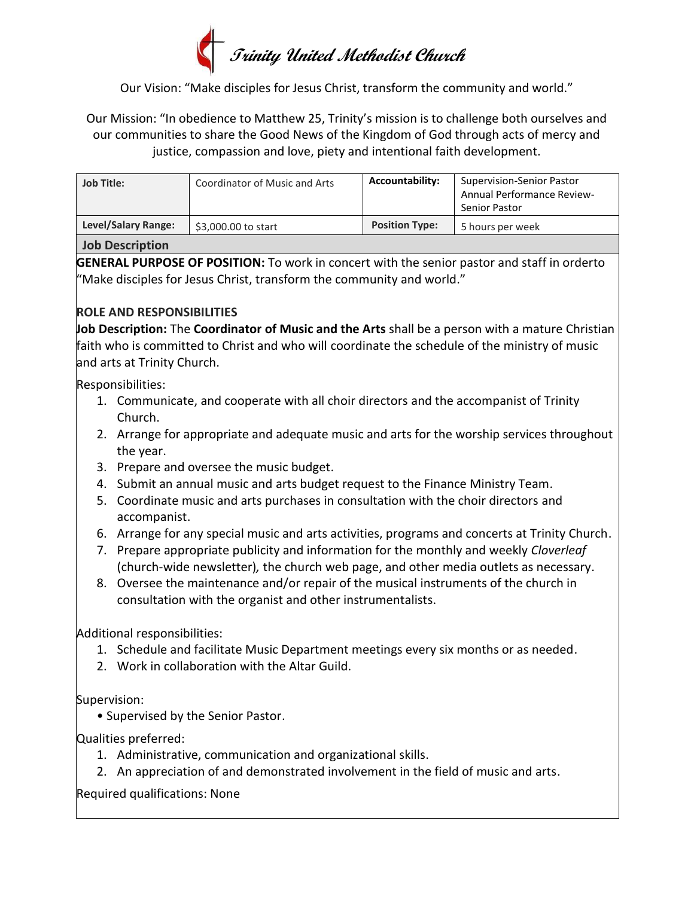# **Trinity United Methodist Church**

Our Vision: "Make disciples for Jesus Christ, transform the community and world."

Our Mission: "In obedience to Matthew 25, Trinity's mission is to challenge both ourselves and our communities to share the Good News of the Kingdom of God through acts of mercy and justice, compassion and love, piety and intentional faith development.

| <b>Job Title:</b>   | Coordinator of Music and Arts | <b>Accountability:</b> | <b>Supervision-Senior Pastor</b><br><b>Annual Performance Review-</b><br>Senior Pastor |
|---------------------|-------------------------------|------------------------|----------------------------------------------------------------------------------------|
| Level/Salary Range: | \$3,000.00 to start           | <b>Position Type:</b>  | 5 hours per week                                                                       |

#### **Job Description**

**GENERAL PURPOSE OF POSITION:** To work in concert with the senior pastor and staff in orderto "Make disciples for Jesus Christ, transform the community and world."

### **ROLE AND RESPONSIBILITIES**

**Job Description:** The **Coordinator of Music and the Arts** shall be a person with a mature Christian faith who is committed to Christ and who will coordinate the schedule of the ministry of music and arts at Trinity Church.

Responsibilities:

- 1. Communicate, and cooperate with all choir directors and the accompanist of Trinity Church.
- 2. Arrange for appropriate and adequate music and arts for the worship services throughout the year.
- 3. Prepare and oversee the music budget.
- 4. Submit an annual music and arts budget request to the Finance Ministry Team.
- 5. Coordinate music and arts purchases in consultation with the choir directors and accompanist.
- 6. Arrange for any special music and arts activities, programs and concerts at Trinity Church.
- 7. Prepare appropriate publicity and information for the monthly and weekly *Cloverleaf* (church-wide newsletter)*,* the church web page, and other media outlets as necessary.
- 8. Oversee the maintenance and/or repair of the musical instruments of the church in consultation with the organist and other instrumentalists.

Additional responsibilities:

- 1. Schedule and facilitate Music Department meetings every six months or as needed.
- 2. Work in collaboration with the Altar Guild.

Supervision:

• Supervised by the Senior Pastor.

Qualities preferred:

- 1. Administrative, communication and organizational skills.
- 2. An appreciation of and demonstrated involvement in the field of music and arts.

Required qualifications: None